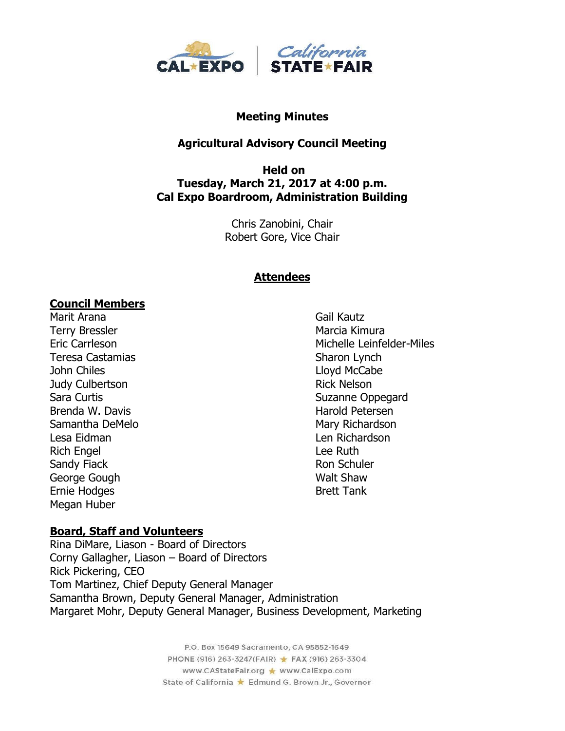

#### **Meeting Minutes**

#### **Agricultural Advisory Council Meeting**

#### **Held on Tuesday, March 21, 2017 at 4:00 p.m. Cal Expo Boardroom, Administration Building**

Chris Zanobini, Chair Robert Gore, Vice Chair

#### **Attendees**

#### **Council Members**

Marit Arana Gail Kautz Terry Bressler Marcia Kimura Teresa Castamias **Sharon Lynch** Sharon Lynch John Chiles **Lloyd McCabe** Judy Culbertson **Rick Nelson** Rick Nelson Sara Curtis **Sara Curtis** Suzanne Oppegard Brenda W. Davis **Harold Petersen** Samantha DeMelo **Mary Richardson** Lesa Eidman Len Richardson Rich Engel **Engel** Rich Engel **Lee Ruth** Sandy Fiack **Ron Schuler** Ron Schuler George Gough National Community Contract Community Contract Community Community Community Community Community Community Community Community Community Community Community Community Community Community Community Community Co Ernie Hodges Brett Tank Megan Huber

## **Board, Staff and Volunteers**

Rina DiMare, Liason - Board of Directors Corny Gallagher, Liason – Board of Directors Rick Pickering, CEO Tom Martinez, Chief Deputy General Manager Samantha Brown, Deputy General Manager, Administration Margaret Mohr, Deputy General Manager, Business Development, Marketing

> P.O. Box 15649 Sacramento, CA 95852-1649 PHONE (916) 263-3247(FAIR) ★ FAX (916) 263-3304 www.CAStateFair.org ★ www.CalExpo.com State of California \* Edmund G. Brown Jr., Governor

Eric Carrleson Michelle Leinfelder-Miles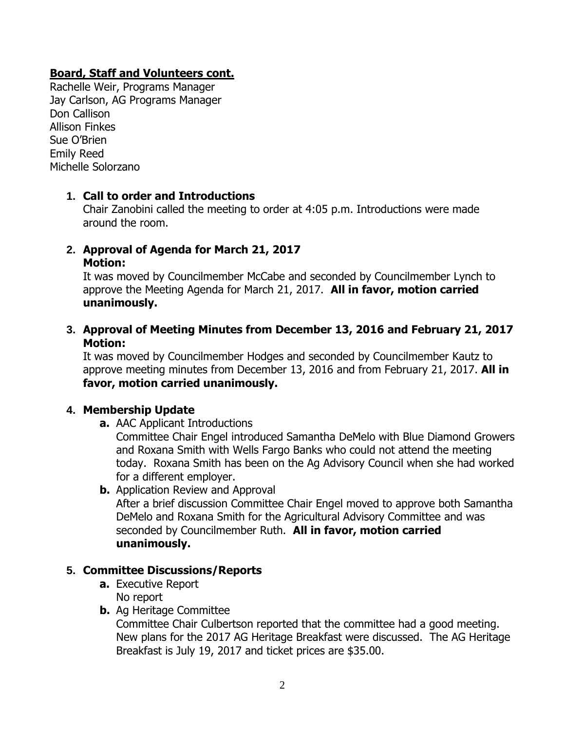## **Board, Staff and Volunteers cont.**

Rachelle Weir, Programs Manager Jay Carlson, AG Programs Manager Don Callison Allison Finkes Sue O'Brien Emily Reed Michelle Solorzano

## **1. Call to order and Introductions**

Chair Zanobini called the meeting to order at 4:05 p.m. Introductions were made around the room.

**2. Approval of Agenda for March 21, 2017 Motion:**

It was moved by Councilmember McCabe and seconded by Councilmember Lynch to approve the Meeting Agenda for March 21, 2017. **All in favor, motion carried unanimously.**

**3. Approval of Meeting Minutes from December 13, 2016 and February 21, 2017 Motion:**

It was moved by Councilmember Hodges and seconded by Councilmember Kautz to approve meeting minutes from December 13, 2016 and from February 21, 2017. **All in favor, motion carried unanimously.**

## **4. Membership Update**

**a.** AAC Applicant Introductions

Committee Chair Engel introduced Samantha DeMelo with Blue Diamond Growers and Roxana Smith with Wells Fargo Banks who could not attend the meeting today. Roxana Smith has been on the Ag Advisory Council when she had worked for a different employer.

**b.** Application Review and Approval After a brief discussion Committee Chair Engel moved to approve both Samantha DeMelo and Roxana Smith for the Agricultural Advisory Committee and was seconded by Councilmember Ruth. **All in favor, motion carried unanimously.**

## **5. Committee Discussions/Reports**

- **a.** Executive Report No report
- **b.** Ag Heritage Committee

Committee Chair Culbertson reported that the committee had a good meeting. New plans for the 2017 AG Heritage Breakfast were discussed. The AG Heritage Breakfast is July 19, 2017 and ticket prices are \$35.00.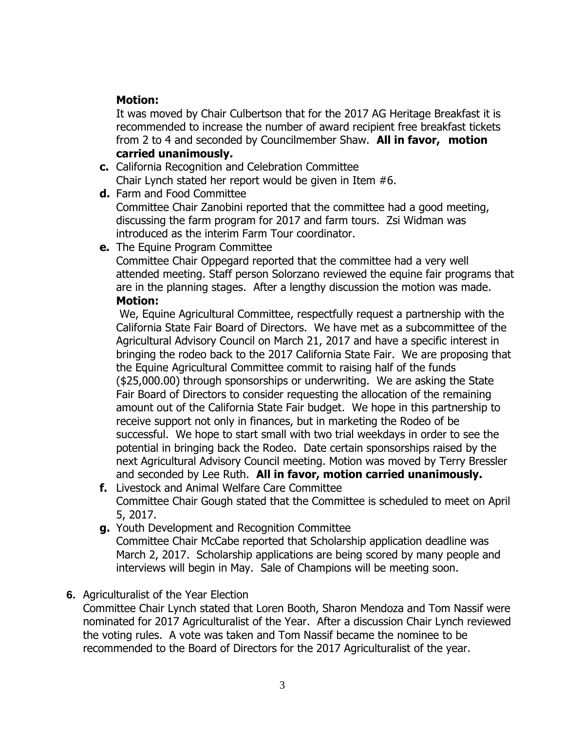# **Motion:**

It was moved by Chair Culbertson that for the 2017 AG Heritage Breakfast it is recommended to increase the number of award recipient free breakfast tickets from 2 to 4 and seconded by Councilmember Shaw. **All in favor, motion carried unanimously.**

- **c.** California Recognition and Celebration Committee Chair Lynch stated her report would be given in Item #6.
- **d.** Farm and Food Committee Committee Chair Zanobini reported that the committee had a good meeting, discussing the farm program for 2017 and farm tours. Zsi Widman was introduced as the interim Farm Tour coordinator.
- **e.** The Equine Program Committee

Committee Chair Oppegard reported that the committee had a very well attended meeting. Staff person Solorzano reviewed the equine fair programs that are in the planning stages. After a lengthy discussion the motion was made. **Motion:**

We, Equine Agricultural Committee, respectfully request a partnership with the California State Fair Board of Directors. We have met as a subcommittee of the Agricultural Advisory Council on March 21, 2017 and have a specific interest in bringing the rodeo back to the 2017 California State Fair. We are proposing that the Equine Agricultural Committee commit to raising half of the funds (\$25,000.00) through sponsorships or underwriting. We are asking the State Fair Board of Directors to consider requesting the allocation of the remaining amount out of the California State Fair budget. We hope in this partnership to receive support not only in finances, but in marketing the Rodeo of be successful. We hope to start small with two trial weekdays in order to see the potential in bringing back the Rodeo. Date certain sponsorships raised by the next Agricultural Advisory Council meeting. Motion was moved by Terry Bressler and seconded by Lee Ruth. **All in favor, motion carried unanimously.**

- **f.** Livestock and Animal Welfare Care Committee Committee Chair Gough stated that the Committee is scheduled to meet on April 5, 2017.
- **g.** Youth Development and Recognition Committee Committee Chair McCabe reported that Scholarship application deadline was March 2, 2017. Scholarship applications are being scored by many people and interviews will begin in May. Sale of Champions will be meeting soon.
- **6.** Agriculturalist of the Year Election

Committee Chair Lynch stated that Loren Booth, Sharon Mendoza and Tom Nassif were nominated for 2017 Agriculturalist of the Year. After a discussion Chair Lynch reviewed the voting rules. A vote was taken and Tom Nassif became the nominee to be recommended to the Board of Directors for the 2017 Agriculturalist of the year.